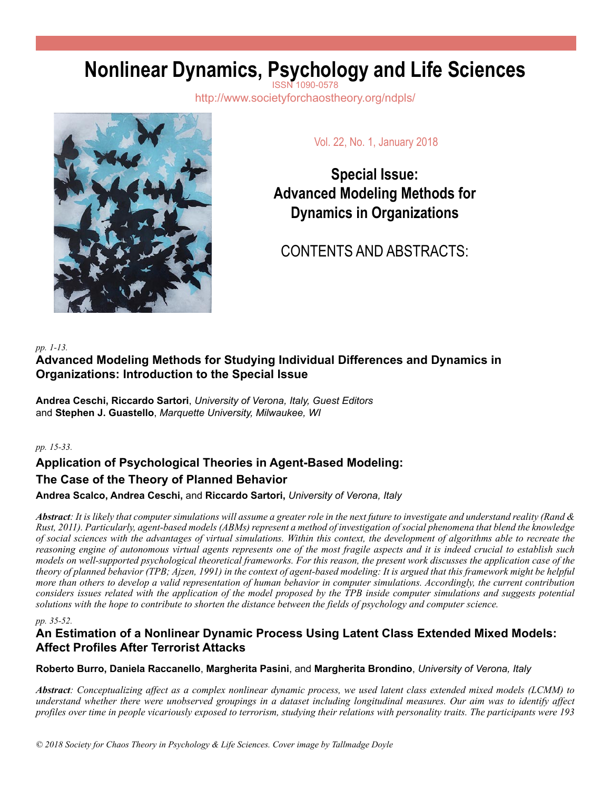# **Nonlinear Dynamics, Psychology and Life Sciences**

http://www.societyforchaostheory.org/ndpls/



Vol. 22, No. 1, January 2018

## **Special Issue: Advanced Modeling Methods for Dynamics in Organizations**

## CONTENTS AND ABSTRACTS:

#### *pp. 1-13.*

## **Advanced Modeling Methods for Studying Individual Differences and Dynamics in Organizations: Introduction to the Special Issue**

**Andrea Ceschi, Riccardo Sartori**, *University of Verona, Italy, Guest Editors* and **Stephen J. Guastello**, *Marquette University, Milwaukee, WI*

#### *pp. 15-33.*

## **Application of Psychological Theories in Agent-Based Modeling: The Case of the Theory of Planned Behavior**

### **Andrea Scalco, Andrea Ceschi,** and **Riccardo Sartori,** *University of Verona, Italy*

*Abstract: It is likely that computer simulations will assume a greater role in the next future to investigate and understand reality (Rand & Rust, 2011). Particularly, agent-based models (ABMs) represent a method of investigation of social phenomena that blend the knowledge of social sciences with the advantages of virtual simulations. Within this context, the development of algorithms able to recreate the reasoning engine of autonomous virtual agents represents one of the most fragile aspects and it is indeed crucial to establish such models on well-supported psychological theoretical frameworks. For this reason, the present work discusses the application case of the theory of planned behavior (TPB; Ajzen, 1991) in the context of agent-based modeling: It is argued that this framework might be helpful more than others to develop a valid representation of human behavior in computer simulations. Accordingly, the current contribution considers issues related with the application of the model proposed by the TPB inside computer simulations and suggests potential solutions with the hope to contribute to shorten the distance between the fields of psychology and computer science.* 

#### *pp. 35-52.*

## **An Estimation of a Nonlinear Dynamic Process Using Latent Class Extended Mixed Models: Affect Profiles After Terrorist Attacks**

#### **Roberto Burro, Daniela Raccanello**, **Margherita Pasini**, and **Margherita Brondino**, *University of Verona, Italy*

*Abstract: Conceptualizing affect as a complex nonlinear dynamic process, we used latent class extended mixed models (LCMM) to understand whether there were unobserved groupings in a dataset including longitudinal measures. Our aim was to identify affect profiles over time in people vicariously exposed to terrorism, studying their relations with personality traits. The participants were 193*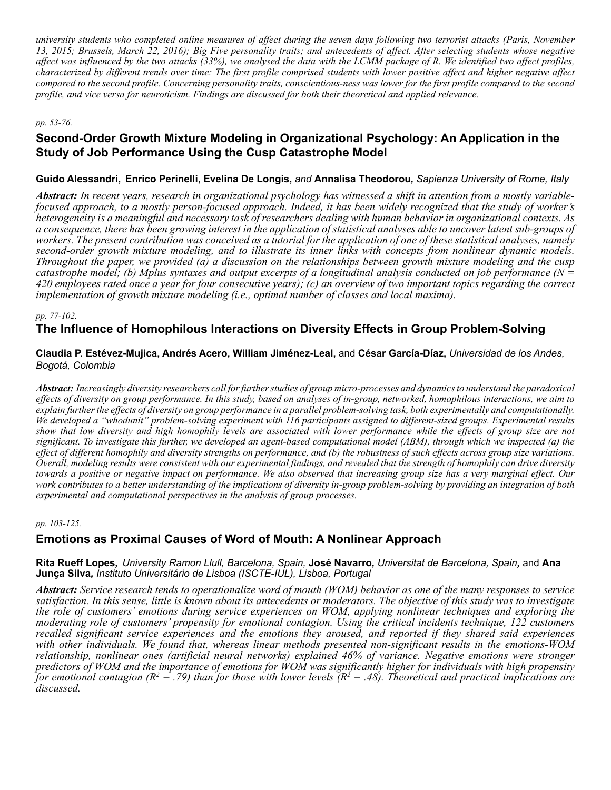*university students who completed online measures of affect during the seven days following two terrorist attacks (Paris, November 13, 2015; Brussels, March 22, 2016); Big Five personality traits; and antecedents of affect. After selecting students whose negative affect was influenced by the two attacks (33%), we analysed the data with the LCMM package of R. We identified two affect profiles, characterized by different trends over time: The first profile comprised students with lower positive affect and higher negative affect compared to the second profile. Concerning personality traits, conscientious-ness was lower for the first profile compared to the second profile, and vice versa for neuroticism. Findings are discussed for both their theoretical and applied relevance.*

#### *pp. 53-76.*

## **Second-Order Growth Mixture Modeling in Organizational Psychology: An Application in the Study of Job Performance Using the Cusp Catastrophe Model**

#### **Guido Alessandri, Enrico Perinelli, Evelina De Longis,** *and* **Annalisa Theodorou***, Sapienza University of Rome, Italy*

*Abstract: In recent years, research in organizational psychology has witnessed a shift in attention from a mostly variablefocused approach, to a mostly person-focused approach. Indeed, it has been widely recognized that the study of worker's heterogeneity is a meaningful and necessary task of researchers dealing with human behavior in organizational contexts. As a consequence, there has been growing interest in the application of statistical analyses able to uncover latent sub-groups of workers. The present contribution was conceived as a tutorial for the application of one of these statistical analyses, namely second-order growth mixture modeling, and to illustrate its inner links with concepts from nonlinear dynamic models. Throughout the paper, we provided (a) a discussion on the relationships between growth mixture modeling and the cusp catastrophe model; (b) Mplus syntaxes and output excerpts of a longitudinal analysis conducted on job performance (N = 420 employees rated once a year for four consecutive years); (c) an overview of two important topics regarding the correct implementation of growth mixture modeling (i.e., optimal number of classes and local maxima).*

#### *pp. 77-102.*

### **The Influence of Homophilous Interactions on Diversity Effects in Group Problem-Solving**

#### **Claudia P. Estévez-Mujica, Andrés Acero, William Jiménez-Leal,** and **César García-Díaz,** *Universidad de los Andes, Bogotá, Colombia*

*Abstract: Increasingly diversity researchers call for further studies of group micro-processes and dynamics to understand the paradoxical effects of diversity on group performance. In this study, based on analyses of in-group, networked, homophilous interactions, we aim to explain further the effects of diversity on group performance in a parallel problem-solving task, both experimentally and computationally. We developed a "whodunit" problem-solving experiment with 116 participants assigned to different-sized groups. Experimental results show that low diversity and high homophily levels are associated with lower performance while the effects of group size are not significant. To investigate this further, we developed an agent-based computational model (ABM), through which we inspected (a) the effect of different homophily and diversity strengths on performance, and (b) the robustness of such effects across group size variations. Overall, modeling results were consistent with our experimental findings, and revealed that the strength of homophily can drive diversity towards a positive or negative impact on performance. We also observed that increasing group size has a very marginal effect. Our work contributes to a better understanding of the implications of diversity in-group problem-solving by providing an integration of both experimental and computational perspectives in the analysis of group processes.*

#### *pp. 103-125.*

## **Emotions as Proximal Causes of Word of Mouth: A Nonlinear Approach**

#### **Rita Rueff Lopes***, University Ramon Llull, Barcelona, Spain,* **José Navarro***, Universitat de Barcelona, Spain,* and **Ana Junça Silva***, Instituto Universitário de Lisboa (ISCTE-IUL), Lisboa, Portugal*

*Abstract: Service research tends to operationalize word of mouth (WOM) behavior as one of the many responses to service satisfaction. In this sense, little is known about its antecedents or moderators. The objective of this study was to investigate the role of customers' emotions during service experiences on WOM, applying nonlinear techniques and exploring the moderating role of customers' propensity for emotional contagion. Using the critical incidents technique, 122 customers recalled significant service experiences and the emotions they aroused, and reported if they shared said experiences with other individuals. We found that, whereas linear methods presented non-significant results in the emotions-WOM relationship, nonlinear ones (artificial neural networks) explained 46% of variance. Negative emotions were stronger predictors of WOM and the importance of emotions for WOM was significantly higher for individuals with high propensity for emotional contagion (R2 = .79) than for those with lower levels (R2 = .48). Theoretical and practical implications are discussed.*